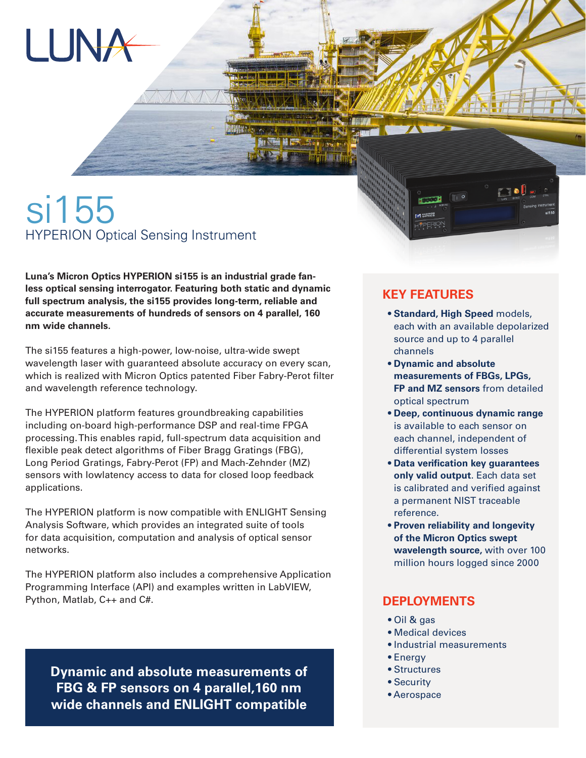

# si155 HYPERION Optical Sensing Instrument

**Luna's Micron Optics HYPERION si155 is an industrial grade fanless optical sensing interrogator. Featuring both static and dynamic full spectrum analysis, the si155 provides long-term, reliable and accurate measurements of hundreds of sensors on 4 parallel, 160 nm wide channels.**

The si155 features a high-power, low-noise, ultra-wide swept wavelength laser with guaranteed absolute accuracy on every scan, which is realized with Micron Optics patented Fiber Fabry-Perot filter and wavelength reference technology.

The HYPERION platform features groundbreaking capabilities including on-board high-performance DSP and real-time FPGA processing. This enables rapid, full-spectrum data acquisition and flexible peak detect algorithms of Fiber Bragg Gratings (FBG), Long Period Gratings, Fabry-Perot (FP) and Mach-Zehnder (MZ) sensors with lowlatency access to data for closed loop feedback applications.

The HYPERION platform is now compatible with ENLIGHT Sensing Analysis Software, which provides an integrated suite of tools for data acquisition, computation and analysis of optical sensor networks.

The HYPERION platform also includes a comprehensive Application Programming Interface (API) and examples written in LabVIEW, Python, Matlab, C++ and C#.

**Dynamic and absolute measurements of FBG & FP sensors on 4 parallel,160 nm wide channels and ENLIGHT compatible**

#### **KEY FEATURES**

 • **Standard, High Speed** models, each with an available depolarized source and up to 4 parallel channels

 $\square$  oii

- **Dynamic and absolute measurements of FBGs, LPGs, FP and MZ sensors** from detailed optical spectrum
- **Deep, continuous dynamic range**  is available to each sensor on each channel, independent of differential system losses
- **Data verification key guarantees only valid output**. Each data set is calibrated and verified against a permanent NIST traceable reference.
- **Proven reliability and longevity of the Micron Optics swept wavelength source,** with over 100 million hours logged since 2000

#### **DEPLOYMENTS**

- Oil & gas
- Medical devices
- Industrial measurements
- Energy
- Structures
- Security
- Aerospace